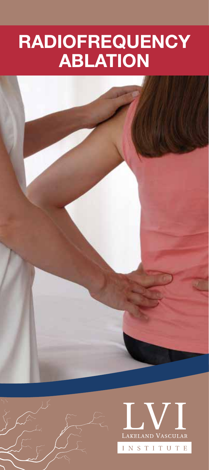# RADIOFREQUENCY ABLATION





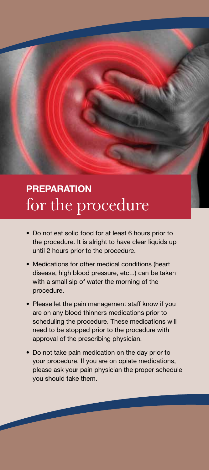### **PREPARATION** for the procedure

- Do not eat solid food for at least 6 hours prior to the procedure. It is alright to have clear liquids up until 2 hours prior to the procedure.
- Medications for other medical conditions (heart disease, high blood pressure, etc...) can be taken with a small sip of water the morning of the procedure.
- Please let the pain management staff know if you are on any blood thinners medications prior to scheduling the procedure. These medications will need to be stopped prior to the procedure with approval of the prescribing physician.
- Do not take pain medication on the day prior to your procedure. If you are on opiate medications, please ask your pain physician the proper schedule you should take them.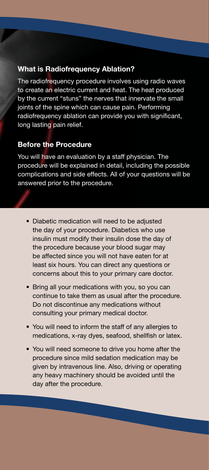#### What is Radiofrequency Ablation?

The radiofrequency procedure involves using radio waves to create an electric current and heat. The heat produced by the current "stuns" the nerves that innervate the small joints of the spine which can cause pain. Performing radiofrequency ablation can provide you with significant, long lasting pain relief.

#### Before the Procedure

You will have an evaluation by a staff physician. The procedure will be explained in detail, including the possible complications and side effects. All of your questions will be answered prior to the procedure.

- Diabetic medication will need to be adjusted the day of your procedure. Diabetics who use insulin must modify their insulin dose the day of the procedure because your blood sugar may be affected since you will not have eaten for at least six hours. You can direct any questions or concerns about this to your primary care doctor.
- Bring all your medications with you, so you can continue to take them as usual after the procedure. Do not discontinue any medications without consulting your primary medical doctor.
- You will need to inform the staff of any allergies to medications, x-ray dyes, seafood, shellfish or latex.
- You will need someone to drive you home after the procedure since mild sedation medication may be given by intravenous line. Also, driving or operating any heavy machinery should be avoided until the day after the procedure.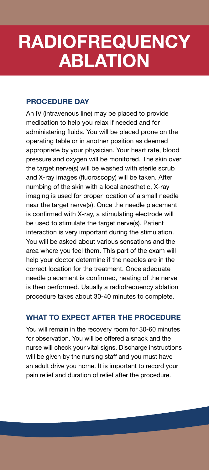# RADIOFREQUENCY ABLATION

#### PROCEDURE DAY

An IV (intravenous line) may be placed to provide medication to help you relax if needed and for administering fluids. You will be placed prone on the operating table or in another position as deemed appropriate by your physician. Your heart rate, blood pressure and oxygen will be monitored. The skin over the target nerve(s) will be washed with sterile scrub and X-ray images (fluoroscopy) will be taken. After numbing of the skin with a local anesthetic, X-ray imaging is used for proper location of a small needle near the target nerve(s). Once the needle placement is confirmed with X-ray, a stimulating electrode will be used to stimulate the target nerve(s). Patient interaction is very important during the stimulation. You will be asked about various sensations and the area where you feel them. This part of the exam will help your doctor determine if the needles are in the correct location for the treatment. Once adequate needle placement is confirmed, heating of the nerve is then performed. Usually a radiofrequency ablation procedure takes about 30-40 minutes to complete.

#### WHAT TO EXPECT AFTER THE PROCEDURE

You will remain in the recovery room for 30-60 minutes for observation. You will be offered a snack and the nurse will check your vital signs. Discharge instructions will be given by the nursing staff and you must have an adult drive you home. It is important to record your pain relief and duration of relief after the procedure.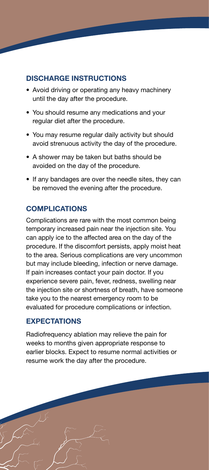#### DISCHARGE INSTRUCTIONS

- Avoid driving or operating any heavy machinery until the day after the procedure.
- You should resume any medications and your regular diet after the procedure.
- You may resume regular daily activity but should avoid strenuous activity the day of the procedure.
- A shower may be taken but baths should be avoided on the day of the procedure.
- If any bandages are over the needle sites, they can be removed the evening after the procedure.

#### **COMPLICATIONS**

Complications are rare with the most common being temporary increased pain near the injection site. You can apply ice to the affected area on the day of the procedure. If the discomfort persists, apply moist heat to the area. Serious complications are very uncommon but may include bleeding, infection or nerve damage. If pain increases contact your pain doctor. If you experience severe pain, fever, redness, swelling near the injection site or shortness of breath, have someone take you to the nearest emergency room to be evaluated for procedure complications or infection.

#### EXPECTATIONS

Radiofrequency ablation may relieve the pain for weeks to months given appropriate response to earlier blocks. Expect to resume normal activities or resume work the day after the procedure.